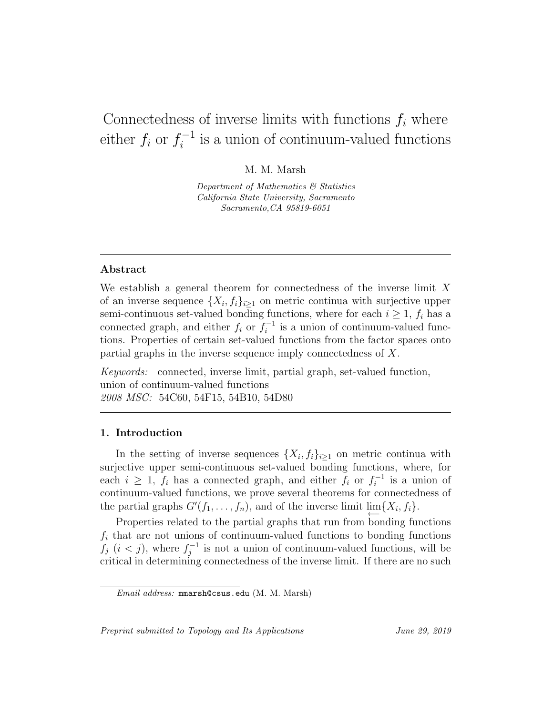# Connectedness of inverse limits with functions  $f_i$  where either  $f_i$  or  $f_i^{-1}$  $i^{-1}$  is a union of continuum-valued functions

M. M. Marsh

Department of Mathematics & Statistics California State University, Sacramento Sacramento,CA 95819-6051

## Abstract

We establish a general theorem for connectedness of the inverse limit  $X$ of an inverse sequence  $\{X_i, f_i\}_{i\geq 1}$  on metric continua with surjective upper semi-continuous set-valued bonding functions, where for each  $i \geq 1$ ,  $f_i$  has a connected graph, and either  $f_i$  or  $f_i^{-1}$  $i^{-1}$  is a union of continuum-valued functions. Properties of certain set-valued functions from the factor spaces onto partial graphs in the inverse sequence imply connectedness of X.

Keywords: connected, inverse limit, partial graph, set-valued function, union of continuum-valued functions 2008 MSC: 54C60, 54F15, 54B10, 54D80

## 1. Introduction

In the setting of inverse sequences  $\{X_i, f_i\}_{i\geq 1}$  on metric continua with surjective upper semi-continuous set-valued bonding functions, where, for each  $i \geq 1$ ,  $f_i$  has a connected graph, and either  $f_i$  or  $f_i^{-1}$  $i^{-1}$  is a union of continuum-valued functions, we prove several theorems for connectedness of the partial graphs  $G'(f_1, \ldots, f_n)$ , and of the inverse limit  $\lim_{\longleftarrow} \{X_i, f_i\}.$ 

Properties related to the partial graphs that run from bonding functions  $f_i$  that are not unions of continuum-valued functions to bonding functions  $f_j$   $(i < j)$ , where  $f_j^{-1}$  $j^{-1}$  is not a union of continuum-valued functions, will be critical in determining connectedness of the inverse limit. If there are no such

Preprint submitted to Topology and Its Applications June 29, 2019

Email address: mmarsh@csus.edu (M. M. Marsh)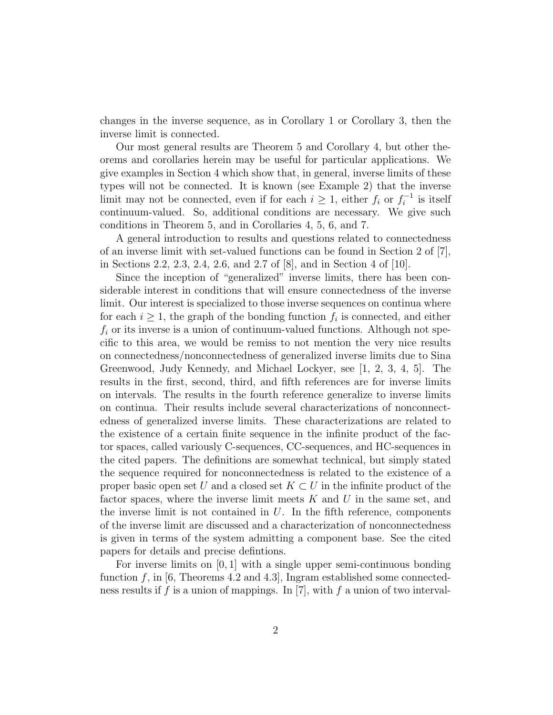changes in the inverse sequence, as in Corollary 1 or Corollary 3, then the inverse limit is connected.

Our most general results are Theorem 5 and Corollary 4, but other theorems and corollaries herein may be useful for particular applications. We give examples in Section 4 which show that, in general, inverse limits of these types will not be connected. It is known (see Example 2) that the inverse limit may not be connected, even if for each  $i \geq 1$ , either  $f_i$  or  $f_i^{-1}$  $i^{-1}$  is itself continuum-valued. So, additional conditions are necessary. We give such conditions in Theorem 5, and in Corollaries 4, 5, 6, and 7.

A general introduction to results and questions related to connectedness of an inverse limit with set-valued functions can be found in Section 2 of [7], in Sections 2.2, 2.3, 2.4, 2.6, and 2.7 of [8], and in Section 4 of [10].

Since the inception of "generalized" inverse limits, there has been considerable interest in conditions that will ensure connectedness of the inverse limit. Our interest is specialized to those inverse sequences on continua where for each  $i \geq 1$ , the graph of the bonding function  $f_i$  is connected, and either  $f_i$  or its inverse is a union of continuum-valued functions. Although not specific to this area, we would be remiss to not mention the very nice results on connectedness/nonconnectedness of generalized inverse limits due to Sina Greenwood, Judy Kennedy, and Michael Lockyer, see [1, 2, 3, 4, 5]. The results in the first, second, third, and fifth references are for inverse limits on intervals. The results in the fourth reference generalize to inverse limits on continua. Their results include several characterizations of nonconnectedness of generalized inverse limits. These characterizations are related to the existence of a certain finite sequence in the infinite product of the factor spaces, called variously C-sequences, CC-sequences, and HC-sequences in the cited papers. The definitions are somewhat technical, but simply stated the sequence required for nonconnectedness is related to the existence of a proper basic open set U and a closed set  $K \subset U$  in the infinite product of the factor spaces, where the inverse limit meets  $K$  and  $U$  in the same set, and the inverse limit is not contained in  $U$ . In the fifth reference, components of the inverse limit are discussed and a characterization of nonconnectedness is given in terms of the system admitting a component base. See the cited papers for details and precise defintions.

For inverse limits on [0, 1] with a single upper semi-continuous bonding function  $f$ , in [6, Theorems 4.2 and 4.3], Ingram established some connectedness results if f is a union of mappings. In [7], with f a union of two interval-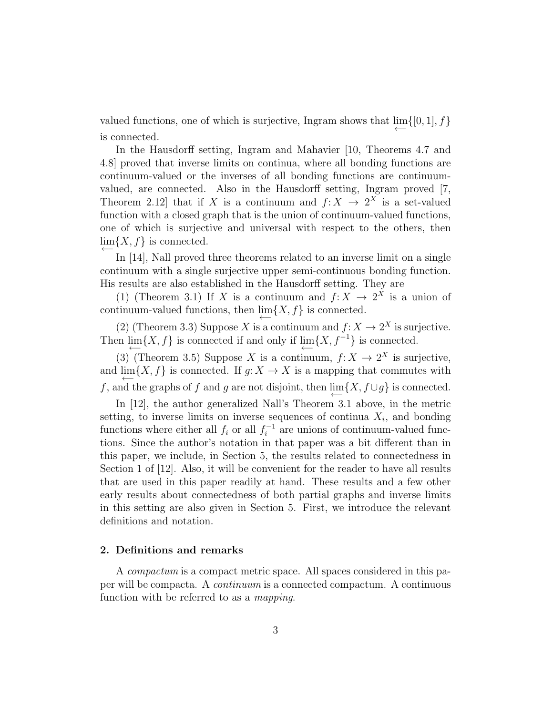valued functions, one of which is surjective, Ingram shows that  $\varprojlim\{[0,1], f\}$ is connected.

In the Hausdorff setting, Ingram and Mahavier [10, Theorems 4.7 and 4.8] proved that inverse limits on continua, where all bonding functions are continuum-valued or the inverses of all bonding functions are continuumvalued, are connected. Also in the Hausdorff setting, Ingram proved [7, Theorem 2.12 that if X is a continuum and  $f: X \to 2^X$  is a set-valued function with a closed graph that is the union of continuum-valued functions, one of which is surjective and universal with respect to the others, then  $\varprojlim\{X,f\}$  is connected.

In [14], Nall proved three theorems related to an inverse limit on a single continuum with a single surjective upper semi-continuous bonding function. His results are also established in the Hausdorff setting. They are

(1) (Theorem 3.1) If X is a continuum and  $f: X \to 2^X$  is a union of continuum-valued functions, then  $\lim_{\leftarrow} \{X, f\}$  is connected.

(2) (Theorem 3.3) Suppose X is a continuum and  $f: X \to 2^X$  is surjective. Then  $\lim_{\longleftarrow} \{X, f\}$  is connected if and only if  $\lim_{\longleftarrow} \{X, f^{-1}\}$  is connected.

(3) (Theorem 3.5) Suppose X is a continuum,  $f: X \to 2^X$  is surjective, and  $\varprojlim\{X, f\}$  is connected. If  $g: X \to X$  is a mapping that commutes with f, and the graphs of f and g are not disjoint, then  $\lim_{\leftarrow} \{X, f \cup g\}$  is connected.

In [12], the author generalized Nall's Theorem 3.1 above, in the metric setting, to inverse limits on inverse sequences of continua  $X_i$ , and bonding functions where either all  $f_i$  or all  $f_i^{-1}$  $i^{-1}$  are unions of continuum-valued functions. Since the author's notation in that paper was a bit different than in this paper, we include, in Section 5, the results related to connectedness in Section 1 of [12]. Also, it will be convenient for the reader to have all results that are used in this paper readily at hand. These results and a few other early results about connectedness of both partial graphs and inverse limits in this setting are also given in Section 5. First, we introduce the relevant definitions and notation.

### 2. Definitions and remarks

A compactum is a compact metric space. All spaces considered in this paper will be compacta. A continuum is a connected compactum. A continuous function with be referred to as a mapping.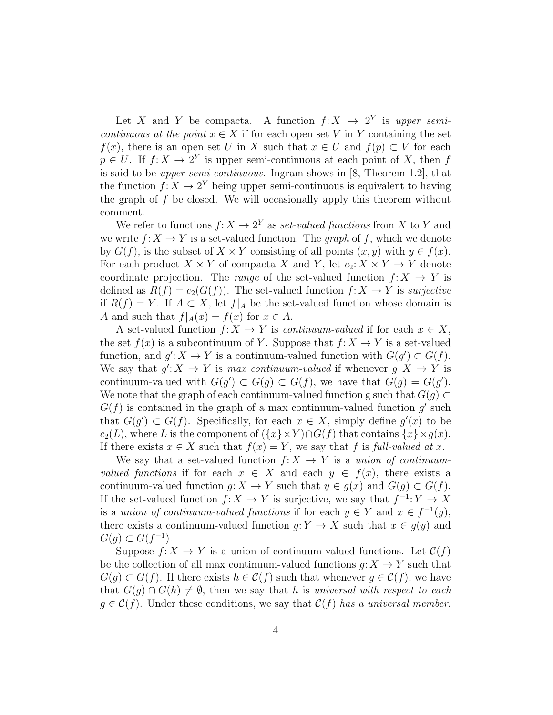Let X and Y be compacta. A function  $f: X \rightarrow 2^Y$  is upper semicontinuous at the point  $x \in X$  if for each open set V in Y containing the set  $f(x)$ , there is an open set U in X such that  $x \in U$  and  $f(p) \subset V$  for each  $p \in U$ . If  $f: X \to 2^Y$  is upper semi-continuous at each point of X, then f is said to be upper semi-continuous. Ingram shows in [8, Theorem 1.2], that the function  $f: X \to 2^Y$  being upper semi-continuous is equivalent to having the graph of f be closed. We will occasionally apply this theorem without comment.

We refer to functions  $f: X \to 2^Y$  as set-valued functions from X to Y and we write  $f: X \to Y$  is a set-valued function. The graph of f, which we denote by  $G(f)$ , is the subset of  $X \times Y$  consisting of all points  $(x, y)$  with  $y \in f(x)$ . For each product  $X \times Y$  of compacta X and Y, let  $c_2: X \times Y \to Y$  denote coordinate projection. The *range* of the set-valued function  $f: X \to Y$  is defined as  $R(f) = c_2(G(f))$ . The set-valued function  $f: X \to Y$  is surjective if  $R(f) = Y$ . If  $A \subset X$ , let  $f|_A$  be the set-valued function whose domain is A and such that  $f|_A(x) = f(x)$  for  $x \in A$ .

A set-valued function  $f: X \to Y$  is *continuum-valued* if for each  $x \in X$ , the set  $f(x)$  is a subcontinuum of Y. Suppose that  $f: X \to Y$  is a set-valued function, and  $g' : X \to Y$  is a continuum-valued function with  $G(g') \subset G(f)$ . We say that  $g' : X \to Y$  is max continuum-valued if whenever  $g: X \to Y$  is continuum-valued with  $G(g') \subset G(g) \subset G(f)$ , we have that  $G(g) = G(g')$ . We note that the graph of each continuum-valued function g such that  $G(g) \subset$  $G(f)$  is contained in the graph of a max continuum-valued function  $g'$  such that  $G(g') \subset G(f)$ . Specifically, for each  $x \in X$ , simply define  $g'(x)$  to be  $c_2(L)$ , where L is the component of  $({x} \times Y) \cap G(f)$  that contains  ${x} \times g(x)$ . If there exists  $x \in X$  such that  $f(x) = Y$ , we say that f is full-valued at x.

We say that a set-valued function  $f: X \to Y$  is a union of continuumvalued functions if for each  $x \in X$  and each  $y \in f(x)$ , there exists a continuum-valued function  $g: X \to Y$  such that  $y \in g(x)$  and  $G(g) \subset G(f)$ . If the set-valued function  $f: X \to Y$  is surjective, we say that  $f^{-1}: Y \to X$ is a union of continuum-valued functions if for each  $y \in Y$  and  $x \in f^{-1}(y)$ , there exists a continuum-valued function  $g: Y \to X$  such that  $x \in g(y)$  and  $G(g) \subset G(f^{-1}).$ 

Suppose  $f: X \to Y$  is a union of continuum-valued functions. Let  $\mathcal{C}(f)$ be the collection of all max continuum-valued functions  $g: X \to Y$  such that  $G(q) \subset G(f)$ . If there exists  $h \in \mathcal{C}(f)$  such that whenever  $q \in \mathcal{C}(f)$ , we have that  $G(g) \cap G(h) \neq \emptyset$ , then we say that h is universal with respect to each  $g \in \mathcal{C}(f)$ . Under these conditions, we say that  $\mathcal{C}(f)$  has a universal member.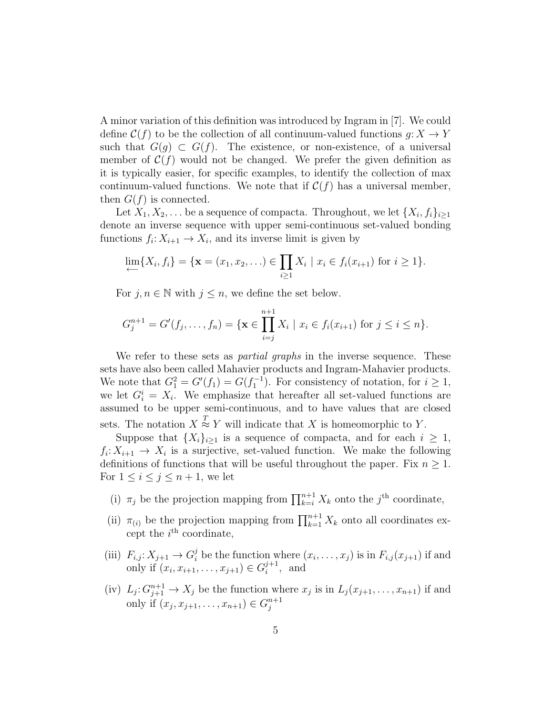A minor variation of this definition was introduced by Ingram in [7]. We could define  $\mathcal{C}(f)$  to be the collection of all continuum-valued functions  $g: X \to Y$ such that  $G(g) \subset G(f)$ . The existence, or non-existence, of a universal member of  $C(f)$  would not be changed. We prefer the given definition as it is typically easier, for specific examples, to identify the collection of max continuum-valued functions. We note that if  $\mathcal{C}(f)$  has a universal member, then  $G(f)$  is connected.

Let  $X_1, X_2, \ldots$  be a sequence of compacta. Throughout, we let  $\{X_i, f_i\}_{i\geq 1}$ denote an inverse sequence with upper semi-continuous set-valued bonding functions  $f_i: X_{i+1} \to X_i$ , and its inverse limit is given by

$$
\lim_{i \to \infty} \{X_i, f_i\} = \{ \mathbf{x} = (x_1, x_2, \ldots) \in \prod_{i \ge 1} X_i \mid x_i \in f_i(x_{i+1}) \text{ for } i \ge 1 \}.
$$

For  $j, n \in \mathbb{N}$  with  $j \leq n$ , we define the set below.

$$
G_j^{n+1} = G'(f_j, \dots, f_n) = \{ \mathbf{x} \in \prod_{i=j}^{n+1} X_i \mid x_i \in f_i(x_{i+1}) \text{ for } j \leq i \leq n \}.
$$

We refer to these sets as *partial graphs* in the inverse sequence. These sets have also been called Mahavier products and Ingram-Mahavier products. We note that  $G_1^2 = G'(f_1) = G(f_1^{-1})$ . For consistency of notation, for  $i \geq 1$ , we let  $G_i^i = X_i$ . We emphasize that hereafter all set-valued functions are assumed to be upper semi-continuous, and to have values that are closed sets. The notation  $X \stackrel{T}{\approx} Y$  will indicate that X is homeomorphic to Y.

Suppose that  $\{X_i\}_{i\geq 1}$  is a sequence of compacta, and for each  $i \geq 1$ ,  $f_i: X_{i+1} \to X_i$  is a surjective, set-valued function. We make the following definitions of functions that will be useful throughout the paper. Fix  $n \geq 1$ . For  $1 \leq i \leq j \leq n+1$ , we let

- (i)  $\pi_j$  be the projection mapping from  $\prod_{k=i}^{n+1} X_k$  onto the  $j^{\text{th}}$  coordinate,
- (ii)  $\pi_{(i)}$  be the projection mapping from  $\prod_{k=1}^{n+1} X_k$  onto all coordinates except the  $i^{\text{th}}$  coordinate,
- (iii)  $F_{i,j}: X_{j+1} \to G_i^j$  be the function where  $(x_i, \ldots, x_j)$  is in  $F_{i,j}(x_{j+1})$  if and only if  $(x_i, x_{i+1}, \ldots, x_{j+1}) \in G_i^{j+1}$  $i^{j+1}$ , and
- (iv)  $L_j: G^{n+1}_{j+1} \to X_j$  be the function where  $x_j$  is in  $L_j(x_{j+1}, \ldots, x_{n+1})$  if and only if  $(x_j, x_{j+1}, \ldots, x_{n+1}) \in G_j^{n+1}$ j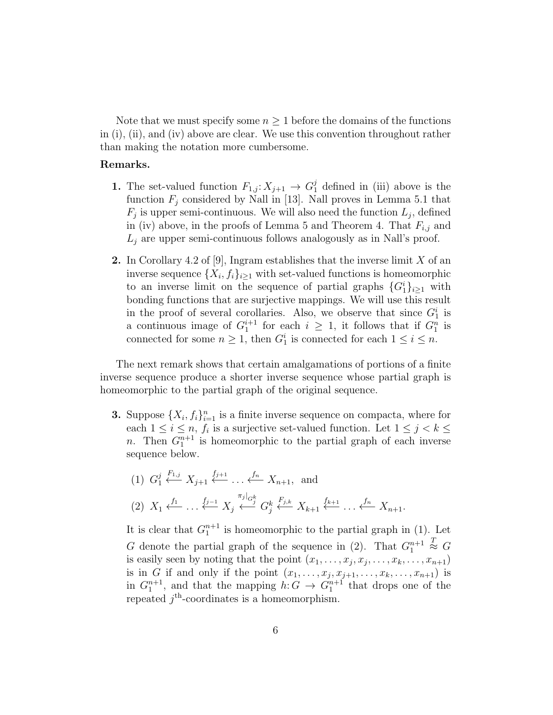Note that we must specify some  $n \geq 1$  before the domains of the functions in (i), (ii), and (iv) above are clear. We use this convention throughout rather than making the notation more cumbersome.

## Remarks.

- **1.** The set-valued function  $F_{1,j}: X_{j+1} \to G_1^j$  defined in (iii) above is the function  $F_i$  considered by Nall in [13]. Nall proves in Lemma 5.1 that  $F_j$  is upper semi-continuous. We will also need the function  $L_j$ , defined in (iv) above, in the proofs of Lemma 5 and Theorem 4. That  $F_{i,j}$  and  $L_i$  are upper semi-continuous follows analogously as in Nall's proof.
- **2.** In Corollary 4.2 of [9], Ingram establishes that the inverse limit  $X$  of an inverse sequence  $\{X_i, f_i\}_{i\geq 1}$  with set-valued functions is homeomorphic to an inverse limit on the sequence of partial graphs  ${G_1^i}_{i \geq 1}$  with bonding functions that are surjective mappings. We will use this result in the proof of several corollaries. Also, we observe that since  $G_1^i$  is a continuous image of  $G_1^{i+1}$  for each  $i \geq 1$ , it follows that if  $G_1^n$  is connected for some  $n \geq 1$ , then  $G_1^i$  is connected for each  $1 \leq i \leq n$ .

The next remark shows that certain amalgamations of portions of a finite inverse sequence produce a shorter inverse sequence whose partial graph is homeomorphic to the partial graph of the original sequence.

- **3.** Suppose  $\{X_i, f_i\}_{i=1}^n$  is a finite inverse sequence on compacta, where for each  $1 \leq i \leq n$ ,  $f_i$  is a surjective set-valued function. Let  $1 \leq j < k \leq$ *n*. Then  $G_1^{n+1}$  is homeomorphic to the partial graph of each inverse sequence below.
	- $(1)$   $G_1^j$  $j \overset{j}{\leftarrow} F_{1,j}$   $X_{j+1} \overset{f_{j+1}}{\leftarrow} \ldots \overset{f_n}{\leftarrow} X_{n+1}$ , and (2)  $X_1 \xleftarrow{f_1} \dots \xleftarrow{f_{j-1}} X_j \xleftarrow{\pi_j|_{G_j^k}}$  $\stackrel{\leftarrow j \mid G_j^k}{\leftarrow} G_j^k \stackrel{F_{j,k}}{\leftarrow} X_{k+1} \stackrel{f_{k+1}}{\leftarrow} \ldots \stackrel{f_n}{\leftarrow} X_{n+1}.$

It is clear that  $G_1^{n+1}$  is homeomorphic to the partial graph in (1). Let G denote the partial graph of the sequence in (2). That  $G_1^{n+1}$  $\stackrel{T}{\approx} G$ is easily seen by noting that the point  $(x_1, \ldots, x_j, x_j, \ldots, x_k, \ldots, x_{n+1})$ is in G if and only if the point  $(x_1, \ldots, x_j, x_{j+1}, \ldots, x_k, \ldots, x_{n+1})$  is in  $G_1^{n+1}$ , and that the mapping  $h: G \to G_1^{n+1}$  that drops one of the repeated  $j<sup>th</sup>$ -coordinates is a homeomorphism.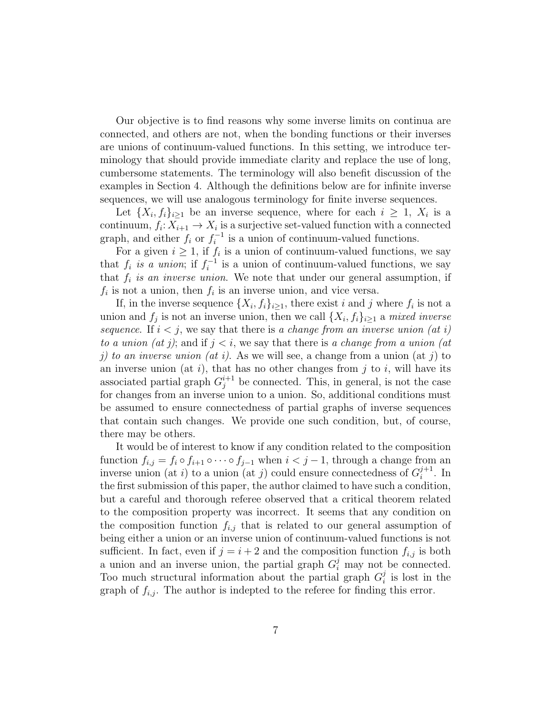Our objective is to find reasons why some inverse limits on continua are connected, and others are not, when the bonding functions or their inverses are unions of continuum-valued functions. In this setting, we introduce terminology that should provide immediate clarity and replace the use of long, cumbersome statements. The terminology will also benefit discussion of the examples in Section 4. Although the definitions below are for infinite inverse sequences, we will use analogous terminology for finite inverse sequences.

Let  $\{X_i, f_i\}_{i\geq 1}$  be an inverse sequence, where for each  $i \geq 1$ ,  $X_i$  is a continuum,  $f_i: X_{i+1} \to X_i$  is a surjective set-valued function with a connected graph, and either  $f_i$  or  $f_i^{-1}$  $i^{-1}$  is a union of continuum-valued functions.

For a given  $i \geq 1$ , if  $f_i$  is a union of continuum-valued functions, we say that  $f_i$  is a union; if  $f_i^{-1}$  $i^{-1}$  is a union of continuum-valued functions, we say that  $f_i$  is an inverse union. We note that under our general assumption, if  $f_i$  is not a union, then  $f_i$  is an inverse union, and vice versa.

If, in the inverse sequence  $\{X_i, f_i\}_{i\geq 1}$ , there exist i and j where  $f_i$  is not a union and  $f_j$  is not an inverse union, then we call  $\{X_i, f_i\}_{i\geq 1}$  a mixed inverse sequence. If  $i < j$ , we say that there is a change from an inverse union (at i) to a union (at j); and if  $j < i$ , we say that there is a change from a union (at j) to an inverse union (at i). As we will see, a change from a union (at j) to an inverse union (at  $i$ ), that has no other changes from  $j$  to  $i$ , will have its associated partial graph  $G_j^{i+1}$  be connected. This, in general, is not the case for changes from an inverse union to a union. So, additional conditions must be assumed to ensure connectedness of partial graphs of inverse sequences that contain such changes. We provide one such condition, but, of course, there may be others.

It would be of interest to know if any condition related to the composition function  $f_{i,j} = f_i \circ f_{i+1} \circ \cdots \circ f_{j-1}$  when  $i < j-1$ , through a change from an inverse union (at i) to a union (at j) could ensure connectedness of  $G_i^{j+1}$  $i^{j+1}$ . In the first submission of this paper, the author claimed to have such a condition, but a careful and thorough referee observed that a critical theorem related to the composition property was incorrect. It seems that any condition on the composition function  $f_{i,j}$  that is related to our general assumption of being either a union or an inverse union of continuum-valued functions is not sufficient. In fact, even if  $j = i + 2$  and the composition function  $f_{i,j}$  is both a union and an inverse union, the partial graph  $G_i^j$  may not be connected. Too much structural information about the partial graph  $G_i^j$  $i$ <sup>*i*</sup> is lost in the graph of  $f_{i,j}$ . The author is indepted to the referee for finding this error.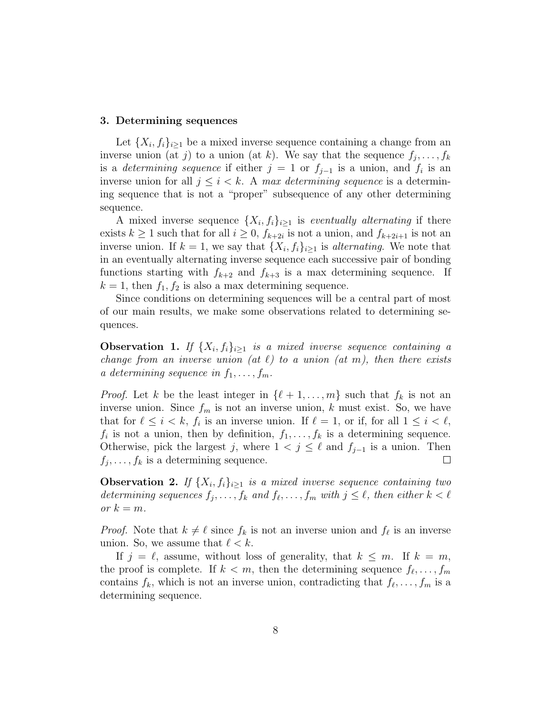#### 3. Determining sequences

Let  $\{X_i, f_i\}_{i\geq 1}$  be a mixed inverse sequence containing a change from an inverse union (at j) to a union (at k). We say that the sequence  $f_j, \ldots, f_k$ is a *determining sequence* if either  $j = 1$  or  $f_{j-1}$  is a union, and  $f_i$  is an inverse union for all  $j \leq i < k$ . A max determining sequence is a determining sequence that is not a "proper" subsequence of any other determining sequence.

A mixed inverse sequence  $\{X_i, f_i\}_{i\geq 1}$  is eventually alternating if there exists  $k \geq 1$  such that for all  $i \geq 0$ ,  $f_{k+2i}$  is not a union, and  $f_{k+2i+1}$  is not an inverse union. If  $k = 1$ , we say that  $\{X_i, f_i\}_{i \geq 1}$  is *alternating*. We note that in an eventually alternating inverse sequence each successive pair of bonding functions starting with  $f_{k+2}$  and  $f_{k+3}$  is a max determining sequence. If  $k = 1$ , then  $f_1, f_2$  is also a max determining sequence.

Since conditions on determining sequences will be a central part of most of our main results, we make some observations related to determining sequences.

**Observation 1.** If  $\{X_i, f_i\}_{i\geq 1}$  is a mixed inverse sequence containing a change from an inverse union (at  $\ell$ ) to a union (at m), then there exists a determining sequence in  $f_1, \ldots, f_m$ .

*Proof.* Let k be the least integer in  $\{\ell + 1, \ldots, m\}$  such that  $f_k$  is not an inverse union. Since  $f_m$  is not an inverse union, k must exist. So, we have that for  $\ell \leq i < k$ ,  $f_i$  is an inverse union. If  $\ell = 1$ , or if, for all  $1 \leq i < \ell$ ,  $f_i$  is not a union, then by definition,  $f_1, \ldots, f_k$  is a determining sequence. Otherwise, pick the largest j, where  $1 < j \leq \ell$  and  $f_{j-1}$  is a union. Then  $f_j, \ldots, f_k$  is a determining sequence.  $\Box$ 

**Observation 2.** If  $\{X_i, f_i\}_{i\geq 1}$  is a mixed inverse sequence containing two determining sequences  $f_j, \ldots, f_k$  and  $f_\ell, \ldots, f_m$  with  $j \leq \ell$ , then either  $k < \ell$ or  $k = m$ .

*Proof.* Note that  $k \neq \ell$  since  $f_k$  is not an inverse union and  $f_\ell$  is an inverse union. So, we assume that  $\ell < k$ .

If  $j = \ell$ , assume, without loss of generality, that  $k \leq m$ . If  $k = m$ , the proof is complete. If  $k < m$ , then the determining sequence  $f_{\ell}, \ldots, f_m$ contains  $f_k$ , which is not an inverse union, contradicting that  $f_\ell, \ldots, f_m$  is a determining sequence.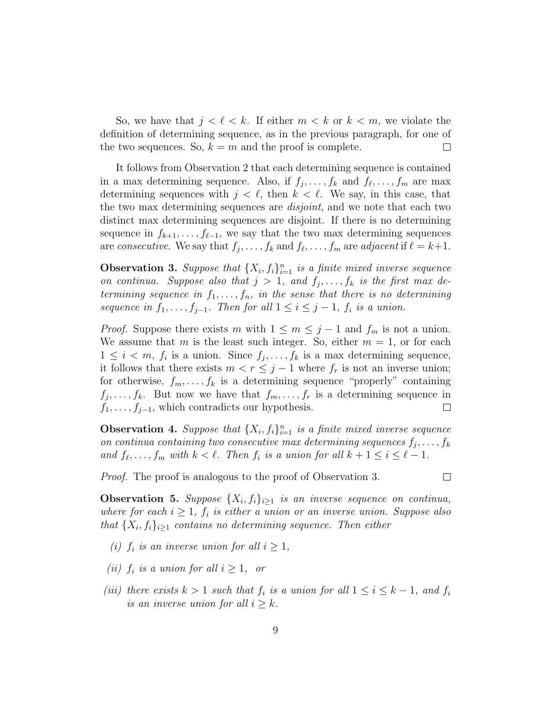So, we have that  $j < \ell < k$ . If either  $m < k$  or  $k < m$ , we violate the definition of determining sequence, as in the previous paragraph, for one of the two sequences. So,  $k = m$  and the proof is complete.  $\Box$ 

It follows from Observation 2 that each determining sequence is contained in a max determining sequence. Also, if  $f_j, \ldots, f_k$  and  $f_\ell, \ldots, f_m$  are max determining sequences with  $j < \ell$ , then  $k < \ell$ . We say, in this case, that the two max determining sequences are disjoint, and we note that each two distinct max determining sequences are disjoint. If there is no determining sequence in  $f_{k+1}, \ldots, f_{\ell-1}$ , we say that the two max determining sequences are consecutive. We say that  $f_j, \ldots, f_k$  and  $f_\ell, \ldots, f_m$  are adjacent if  $\ell = k+1$ .

**Observation 3.** Suppose that  $\{X_i, f_i\}_{i=1}^n$  is a finite mixed inverse sequence on continua. Suppose also that  $j > 1$ , and  $f_j, \ldots, f_k$  is the first max determining sequence in  $f_1, \ldots, f_n$ , in the sense that there is no determining sequence in  $f_1, \ldots, f_{j-1}$ . Then for all  $1 \leq i \leq j-1$ ,  $f_i$  is a union.

*Proof.* Suppose there exists m with  $1 \leq m \leq j-1$  and  $f_m$  is not a union. We assume that m is the least such integer. So, either  $m = 1$ , or for each  $1 \leq i \leq m$ ,  $f_i$  is a union. Since  $f_j, \ldots, f_k$  is a max determining sequence, it follows that there exists  $m < r \leq j-1$  where  $f_r$  is not an inverse union; for otherwise,  $f_m, \ldots, f_k$  is a determining sequence "properly" containing  $f_j, \ldots, f_k$ . But now we have that  $f_m, \ldots, f_r$  is a determining sequence in  $f_1, \ldots, f_{j-1}$ , which contradicts our hypothesis.  $\Box$ 

**Observation 4.** Suppose that  $\{X_i, f_i\}_{i=1}^n$  is a finite mixed inverse sequence on continua containing two consecutive max determining sequences  $f_j, \ldots, f_k$ and  $f_{\ell}, \ldots, f_m$  with  $k < \ell$ . Then  $f_i$  is a union for all  $k + 1 \leq i \leq \ell - 1$ .

Proof. The proof is analogous to the proof of Observation 3.

 $\Box$ 

**Observation 5.** Suppose  $\{X_i, f_i\}_{i\geq 1}$  is an inverse sequence on continua, where for each  $i \geq 1$ ,  $f_i$  is either a union or an inverse union. Suppose also that  $\{X_i, f_i\}_{i\geq 1}$  contains no determining sequence. Then either

- (i)  $f_i$  is an inverse union for all  $i \geq 1$ ,
- (ii)  $f_i$  is a union for all  $i \geq 1$ , or
- (iii) there exists  $k > 1$  such that  $f_i$  is a union for all  $1 \leq i \leq k 1$ , and  $f_i$ is an inverse union for all  $i > k$ .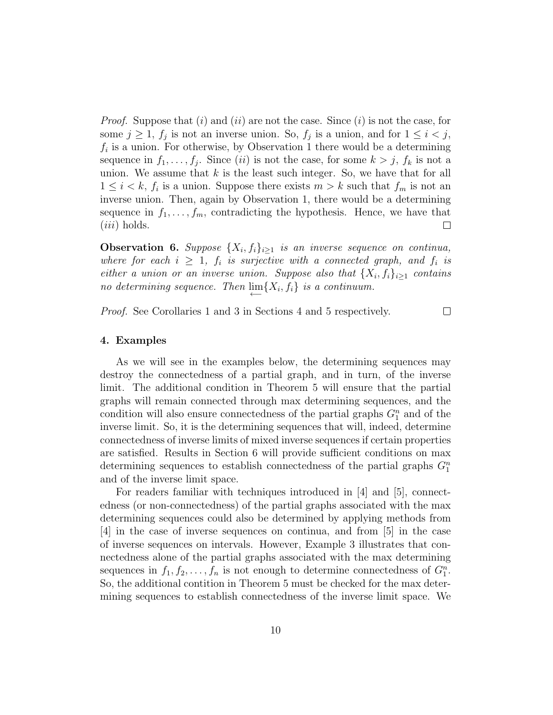*Proof.* Suppose that  $(i)$  and  $(ii)$  are not the case. Since  $(i)$  is not the case, for some  $j \geq 1$ ,  $f_j$  is not an inverse union. So,  $f_j$  is a union, and for  $1 \leq i < j$ ,  $f_i$  is a union. For otherwise, by Observation 1 there would be a determining sequence in  $f_1, \ldots, f_j$ . Since *(ii)* is not the case, for some  $k > j$ ,  $f_k$  is not a union. We assume that  $k$  is the least such integer. So, we have that for all  $1 \leq i \leq k$ ,  $f_i$  is a union. Suppose there exists  $m > k$  such that  $f_m$  is not an inverse union. Then, again by Observation 1, there would be a determining sequence in  $f_1, \ldots, f_m$ , contradicting the hypothesis. Hence, we have that  $(iii)$  holds.  $\Box$ 

**Observation 6.** Suppose  $\{X_i, f_i\}_{i\geq 1}$  is an inverse sequence on continua, where for each  $i \geq 1$ ,  $f_i$  is surjective with a connected graph, and  $f_i$  is either a union or an inverse union. Suppose also that  $\{X_i, f_i\}_{i\geq 1}$  contains no determining sequence. Then  $\lim_{\longleftarrow} \{X_i, f_i\}$  is a continuum.

Proof. See Corollaries 1 and 3 in Sections 4 and 5 respectively.

 $\Box$ 

#### 4. Examples

As we will see in the examples below, the determining sequences may destroy the connectedness of a partial graph, and in turn, of the inverse limit. The additional condition in Theorem 5 will ensure that the partial graphs will remain connected through max determining sequences, and the condition will also ensure connectedness of the partial graphs  $G_1^n$  and of the inverse limit. So, it is the determining sequences that will, indeed, determine connectedness of inverse limits of mixed inverse sequences if certain properties are satisfied. Results in Section 6 will provide sufficient conditions on max determining sequences to establish connectedness of the partial graphs  $G_1^n$ and of the inverse limit space.

For readers familiar with techniques introduced in [4] and [5], connectedness (or non-connectedness) of the partial graphs associated with the max determining sequences could also be determined by applying methods from [4] in the case of inverse sequences on continua, and from [5] in the case of inverse sequences on intervals. However, Example 3 illustrates that connectedness alone of the partial graphs associated with the max determining sequences in  $f_1, f_2, \ldots, f_n$  is not enough to determine connectedness of  $G_1^n$ . So, the additional contition in Theorem 5 must be checked for the max determining sequences to establish connectedness of the inverse limit space. We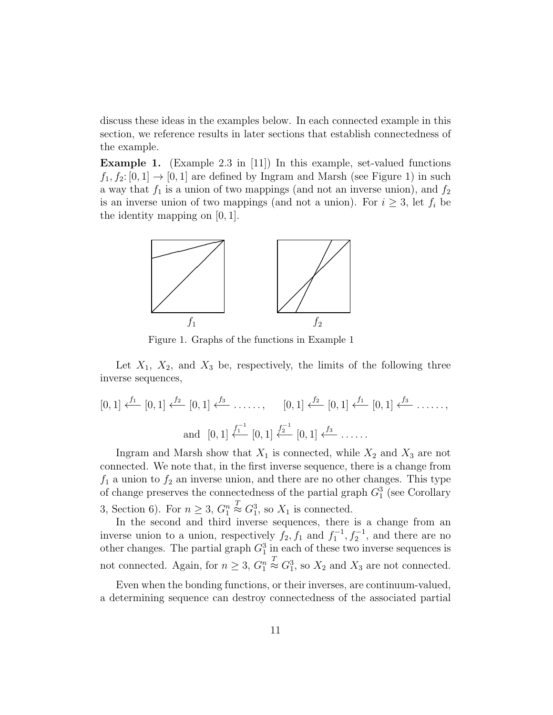discuss these ideas in the examples below. In each connected example in this section, we reference results in later sections that establish connectedness of the example.

**Example 1.** (Example 2.3 in [11]) In this example, set-valued functions  $f_1, f_2: [0, 1] \rightarrow [0, 1]$  are defined by Ingram and Marsh (see Figure 1) in such a way that  $f_1$  is a union of two mappings (and not an inverse union), and  $f_2$ is an inverse union of two mappings (and not a union). For  $i \geq 3$ , let  $f_i$  be the identity mapping on [0, 1].



Figure 1. Graphs of the functions in Example 1

Let  $X_1$ ,  $X_2$ , and  $X_3$  be, respectively, the limits of the following three inverse sequences,

$$
[0,1] \xleftarrow{f_1} [0,1] \xleftarrow{f_2} [0,1] \xleftarrow{f_3} \dots \dots, \qquad [0,1] \xleftarrow{f_2} [0,1] \xleftarrow{f_1} [0,1] \xleftarrow{f_3} \dots \dots,
$$
  
and 
$$
[0,1] \xleftarrow{f_1^{-1}} [0,1] \xleftarrow{f_2^{-1}} [0,1] \xleftarrow{f_3} \dots \dots
$$

Ingram and Marsh show that  $X_1$  is connected, while  $X_2$  and  $X_3$  are not connected. We note that, in the first inverse sequence, there is a change from  $f_1$  a union to  $f_2$  an inverse union, and there are no other changes. This type of change preserves the connectedness of the partial graph  $G_1^3$  (see Corollary 3, Section 6). For  $n \geq 3$ ,  $G_1^n$  $\stackrel{T}{\approx} G_1^3$ , so  $X_1$  is connected.

In the second and third inverse sequences, there is a change from an inverse union to a union, respectively  $f_2$ ,  $f_1$  and  $f_1^{-1}$ ,  $f_2^{-1}$ , and there are no other changes. The partial graph  $G_1^3$  in each of these two inverse sequences is not connected. Again, for  $n \geq 3$ ,  $G_1^n$  $\stackrel{T}{\approx} G_1^3$ , so  $X_2$  and  $X_3$  are not connected.

Even when the bonding functions, or their inverses, are continuum-valued, a determining sequence can destroy connectedness of the associated partial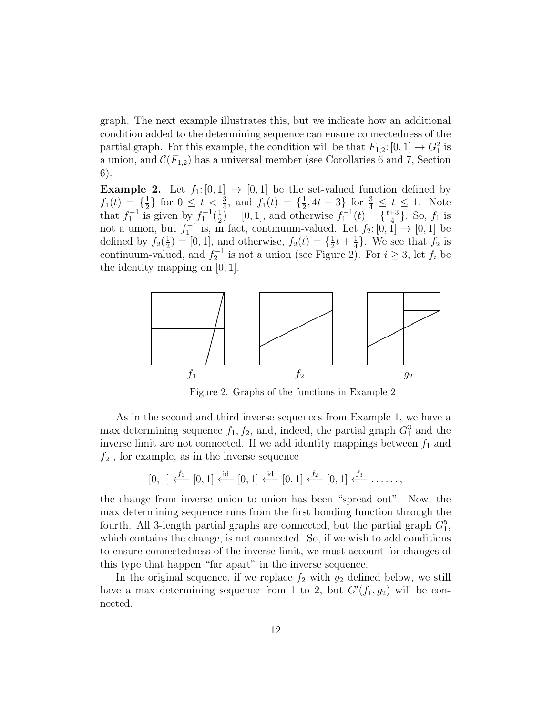graph. The next example illustrates this, but we indicate how an additional condition added to the determining sequence can ensure connectedness of the partial graph. For this example, the condition will be that  $F_{1,2}$ :  $[0,1] \rightarrow G_1^2$  is a union, and  $\mathcal{C}(F_{1,2})$  has a universal member (see Corollaries 6 and 7, Section 6).

**Example 2.** Let  $f_1: [0, 1] \rightarrow [0, 1]$  be the set-valued function defined by  $f_1(t) = \{\frac{1}{2}\}$  $\frac{1}{2}$ } for  $0 \leq t \leq \frac{3}{4}$ , and  $f_1(t) = \{\frac{1}{2}$  $\frac{1}{2}$ , 4t – 3} for  $\frac{3}{4} \leq t \leq 1$ . Note that  $f_1^{-1}$  is given by  $f_1^{-1}(\frac{1}{2})$  $(\frac{1}{2})^2 = [0, 1]$ , and otherwise  $f_1^{-1}(t) = \{\frac{t+3}{4}\}$  $\{\frac{+3}{4}\}$ . So,  $f_1$  is not a union, but  $f_1^{-1}$  is, in fact, continuum-valued. Let  $f_2: [0,1] \rightarrow [0,1]$  be defined by  $f_2(\frac{1}{2})$  $(\frac{1}{2}) = [0, 1]$ , and otherwise,  $f_2(t) = {\frac{1}{2}}$  $rac{1}{2}t + \frac{1}{4}$  $\frac{1}{4}$ . We see that  $f_2$  is continuum-valued, and  $f_2^{-1}$  is not a union (see Figure 2). For  $i \geq 3$ , let  $f_i$  be the identity mapping on [0, 1].



Figure 2. Graphs of the functions in Example 2

As in the second and third inverse sequences from Example 1, we have a max determining sequence  $f_1, f_2$ , and, indeed, the partial graph  $G_1^3$  and the inverse limit are not connected. If we add identity mappings between  $f_1$  and  $f_2$ , for example, as in the inverse sequence

$$
[0,1] \xleftarrow{f_1} [0,1] \xleftarrow{\text{id}} [0,1] \xleftarrow{\text{id}} [0,1] \xleftarrow{f_2} [0,1] \xleftarrow{f_3} \dots
$$

the change from inverse union to union has been "spread out". Now, the max determining sequence runs from the first bonding function through the fourth. All 3-length partial graphs are connected, but the partial graph  $G_1^5$ , which contains the change, is not connected. So, if we wish to add conditions to ensure connectedness of the inverse limit, we must account for changes of this type that happen "far apart" in the inverse sequence.

In the original sequence, if we replace  $f_2$  with  $g_2$  defined below, we still have a max determining sequence from 1 to 2, but  $G'(f_1, g_2)$  will be connected.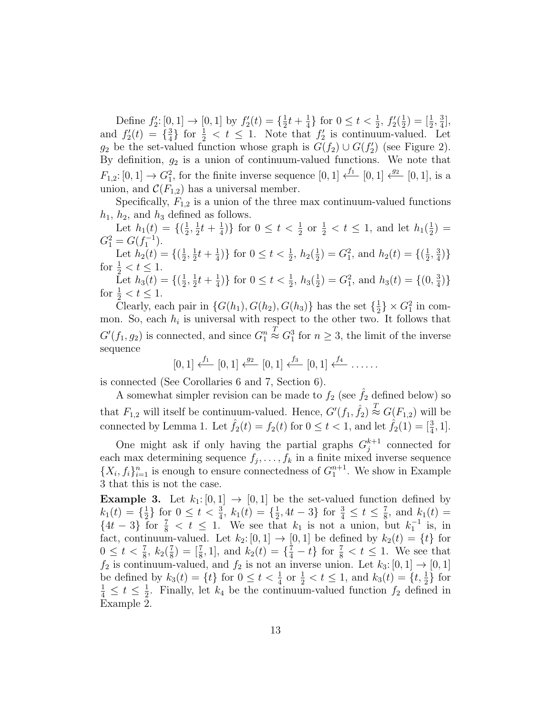Define  $f'_2: [0,1] \to [0,1]$  by  $f'_2(t) = \{\frac{1}{2}$  $\frac{1}{2}t + \frac{1}{4}$  $\frac{1}{4}$ } for  $0 \le t < \frac{1}{2}$ ,  $f'_{2}(\frac{1}{2})$  $(\frac{1}{2}) = [\frac{1}{2}, \frac{3}{4}]$  $\frac{3}{4}$ , and  $f'_{2}(t) = \{\frac{3}{4}\}$  $\frac{3}{4}$  for  $\frac{1}{2} < t \leq 1$ . Note that  $f_2'$  is continuum-valued. Let  $g_2$  be the set-valued function whose graph is  $G(f_2) \cup G(f'_2)$  (see Figure 2). By definition,  $g_2$  is a union of continuum-valued functions. We note that  $F_{1,2}: [0,1] \to G_1^2$ , for the finite inverse sequence  $[0,1] \xleftarrow{f_1} [0,1] \xleftarrow{g_2} [0,1]$ , is a union, and  $\mathcal{C}(F_{1,2})$  has a universal member.

Specifically,  $F_{1,2}$  is a union of the three max continuum-valued functions  $h_1$ ,  $h_2$ , and  $h_3$  defined as follows.

Let  $h_1(t) = \{(\frac{1}{2})\}$  $\frac{1}{2}, \frac{1}{2}$  $\frac{1}{2}t + \frac{1}{4}$  $\frac{1}{4}$ } for  $0 \le t < \frac{1}{2}$  or  $\frac{1}{2} < t \le 1$ , and let  $h_1(\frac{1}{2})$  $(\frac{1}{2}) =$  $G_1^2 = G(f_1^{-1}).$ 

Let  $h_2(t) = \{(\frac{1}{2})\}$  $\frac{1}{2}, \frac{1}{2}$  $\frac{1}{2}t + \frac{1}{4}$  $\frac{1}{4}$ )} for  $0 \le t < \frac{1}{2}$ ,  $h_2(\frac{1}{2})$  $\frac{1}{2}$ ) =  $G_1^2$ , and  $h_2(t) = \{(\frac{1}{2})\}$  $\frac{1}{2}, \frac{3}{4}$  $\frac{3}{4})\}$ for  $\frac{1}{2} < t \leq 1$ .

Let  $h_3(t) = \{(\frac{1}{2})\}$  $\frac{1}{2}, \frac{1}{2}$  $\frac{1}{2}t + \frac{1}{4}$  $\frac{1}{4}$ )} for  $0 \le t < \frac{1}{2}$ ,  $h_3(\frac{1}{2})$  $\frac{1}{2}$ ) =  $G_1^2$ , and  $h_3(t) = \{(0, \frac{3}{4})\}$  $\frac{3}{4})\}$ for  $\frac{1}{2} < t \leq 1$ .

Clearly, each pair in  $\{G(h_1), G(h_2), G(h_3)\}\)$  has the set  $\{\frac{1}{2}\}$  $\frac{1}{2}$   $\times G_1^2$  in common. So, each  $h_i$  is universal with respect to the other two. It follows that  $G'(f_1, g_2)$  is connected, and since  $G_1^n$  $\stackrel{T}{\approx} G_1^3$  for  $n \geq 3$ , the limit of the inverse sequence

$$
[0,1] \xleftarrow{f_1} [0,1] \xleftarrow{g_2} [0,1] \xleftarrow{f_3} [0,1] \xleftarrow{f_4} \dots
$$

is connected (See Corollaries 6 and 7, Section 6).

A somewhat simpler revision can be made to  $f_2$  (see  $\hat{f}_2$  defined below) so that  $F_{1,2}$  will itself be continuum-valued. Hence,  $G'(f_1, \hat{f}_2) \stackrel{T}{\approx} G(F_{1,2})$  will be connected by Lemma 1. Let  $\hat{f}_2(t) = f_2(t)$  for  $0 \le t < 1$ , and let  $\hat{f}_2(1) = \left[\frac{3}{4}, 1\right]$ .

One might ask if only having the partial graphs  $G_i^{k+1}$  $j^{k+1}$  connected for each max determining sequence  $f_j, \ldots, f_k$  in a finite mixed inverse sequence  ${X_i, f_i}_{i=1}^n$  is enough to ensure connectedness of  $G_1^{n+1}$ . We show in Example 3 that this is not the case.

**Example 3.** Let  $k_1: [0, 1] \rightarrow [0, 1]$  be the set-valued function defined by  $k_1(t) = \{\frac{1}{2}\}$  $\frac{1}{2}$ } for  $0 \le t < \frac{3}{4}$ ,  $k_1(t) = {\frac{1}{2}}$  $\frac{1}{2}$ , 4*t* - 3} for  $\frac{3}{4} \le t \le \frac{7}{8}$  $\frac{7}{8}$ , and  $k_1(t) =$  $\{4t-3\}$  for  $\frac{7}{8} < t \leq 1$ . We see that  $k_1$  is not a union, but  $k_1^{-1}$  is, in fact, continuum-valued. Let  $k_2: [0, 1] \rightarrow [0, 1]$  be defined by  $k_2(t) = \{t\}$  for  $0 \leq t < \frac{7}{8}, k_2(\frac{7}{8})$  $(\frac{7}{8}) = [\frac{7}{8}, 1]$ , and  $k_2(t) = {\frac{7}{4} - t}$  for  $\frac{7}{8} < t \le 1$ . We see that  $f_2$  is continuum-valued, and  $f_2$  is not an inverse union. Let  $k_3: [0,1] \rightarrow [0,1]$ be defined by  $k_3(t) = \{t\}$  for  $0 \le t < \frac{1}{4}$  or  $\frac{1}{2} < t \le 1$ , and  $k_3(t) = \{t, \frac{1}{2}\}$  for  $\frac{1}{4} \leq t \leq \frac{1}{2}$  $\frac{1}{2}$ . Finally, let  $k_4$  be the continuum-valued function  $f_2$  defined in Example 2.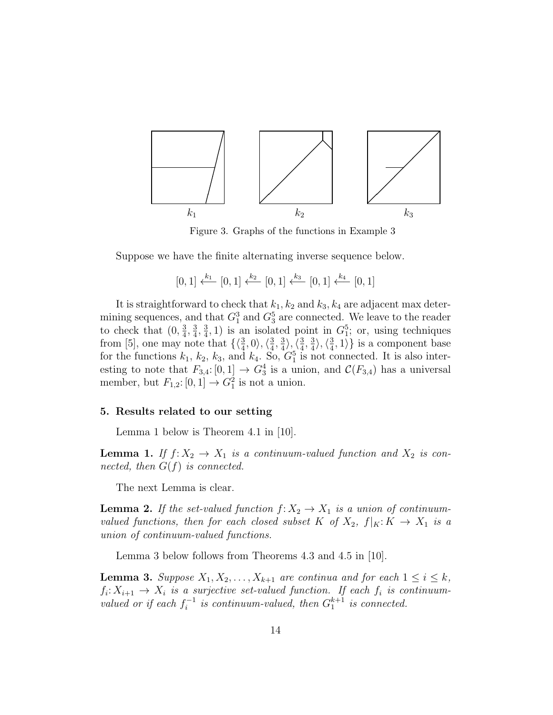

Figure 3. Graphs of the functions in Example 3

Suppose we have the finite alternating inverse sequence below.

$$
[0,1] \xleftarrow{k_1} [0,1] \xleftarrow{k_2} [0,1] \xleftarrow{k_3} [0,1] \xleftarrow{k_4} [0,1]
$$

It is straightforward to check that  $k_1, k_2$  and  $k_3, k_4$  are adjacent max determining sequences, and that  $G_1^3$  and  $G_3^5$  are connected. We leave to the reader to check that  $(0, \frac{3}{4})$  $\frac{3}{4}$ ,  $\frac{3}{4}$  $\frac{3}{4}$ ,  $\frac{3}{4}$  $(\frac{3}{4}, 1)$  is an isolated point in  $G_1^5$ ; or, using techniques from [5], one may note that  $\{\langle \frac{3}{4}, 0 \rangle, \langle \frac{3}{4}, \rangle\}$  $\frac{3}{4}$ ,  $\frac{3}{4}$  $\frac{3}{4}\rangle, \langle \frac{3}{4}$  $\frac{3}{4}$ ,  $\frac{3}{4}$  $\frac{3}{4}\rangle, \langle \frac{3}{4}$  $\{\frac{3}{4}, 1\}$  is a component base for the functions  $k_1, k_2, k_3$ , and  $k_4$ . So,  $G_1^5$  is not connected. It is also interesting to note that  $F_{3,4}: [0,1] \to G_3^4$  is a union, and  $\mathcal{C}(F_{3,4})$  has a universal member, but  $F_{1,2}: [0,1] \to G_1^2$  is not a union.

#### 5. Results related to our setting

Lemma 1 below is Theorem 4.1 in [10].

**Lemma 1.** If  $f: X_2 \to X_1$  is a continuum-valued function and  $X_2$  is connected, then  $G(f)$  is connected.

The next Lemma is clear.

**Lemma 2.** If the set-valued function  $f: X_2 \to X_1$  is a union of continuumvalued functions, then for each closed subset K of  $X_2$ ,  $f|_K: K \to X_1$  is a union of continuum-valued functions.

Lemma 3 below follows from Theorems 4.3 and 4.5 in [10].

**Lemma 3.** Suppose  $X_1, X_2, \ldots, X_{k+1}$  are continua and for each  $1 \leq i \leq k$ ,  $f_i: X_{i+1} \to X_i$  is a surjective set-valued function. If each  $f_i$  is continuumvalued or if each  $f_i^{-1}$  $i_i^{-1}$  is continuum-valued, then  $G_1^{k+1}$  is connected.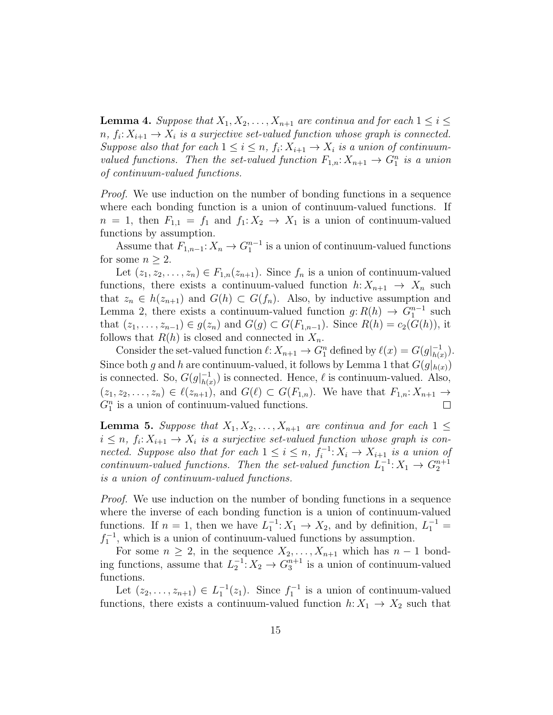**Lemma 4.** Suppose that  $X_1, X_2, \ldots, X_{n+1}$  are continua and for each  $1 \leq i \leq n$  $n, f_i: X_{i+1} \to X_i$  is a surjective set-valued function whose graph is connected. Suppose also that for each  $1 \leq i \leq n$ ,  $f_i: X_{i+1} \to X_i$  is a union of continuumvalued functions. Then the set-valued function  $F_{1,n}: X_{n+1} \to G_1^n$  is a union of continuum-valued functions.

Proof. We use induction on the number of bonding functions in a sequence where each bonding function is a union of continuum-valued functions. If  $n = 1$ , then  $F_{1,1} = f_1$  and  $f_1: X_2 \to X_1$  is a union of continuum-valued functions by assumption.

Assume that  $F_{1,n-1}: X_n \to G_1^{n-1}$  is a union of continuum-valued functions for some  $n \geq 2$ .

Let  $(z_1, z_2, \ldots, z_n) \in F_{1,n}(z_{n+1})$ . Since  $f_n$  is a union of continuum-valued functions, there exists a continuum-valued function  $h: X_{n+1} \to X_n$  such that  $z_n \in h(z_{n+1})$  and  $G(h) \subset G(f_n)$ . Also, by inductive assumption and Lemma 2, there exists a continuum-valued function  $g: R(h) \to G_1^{n-1}$  such that  $(z_1, \ldots, z_{n-1}) \in g(z_n)$  and  $G(g) \subset G(F_{1,n-1})$ . Since  $R(h) = c_2(G(h))$ , it follows that  $R(h)$  is closed and connected in  $X_n$ .

Consider the set-valued function  $\ell: X_{n+1} \to G_1^n$  defined by  $\ell(x) = G(g|_{h(x)}^{-1})$  $\frac{-1}{h(x)}$ . Since both g and h are continuum-valued, it follows by Lemma 1 that  $G(g|_{h(x)})$ is connected. So,  $G(g|_{h(s)}^{-1})$  $\binom{-1}{h(x)}$  is connected. Hence,  $\ell$  is continuum-valued. Also,  $(z_1, z_2, \ldots, z_n) \in \ell(z_{n+1}),$  and  $G(\ell) \subset G(F_{1,n})$ . We have that  $F_{1,n}: X_{n+1} \to Y$  $G_1^n$  is a union of continuum-valued functions.  $\Box$ 

**Lemma 5.** Suppose that  $X_1, X_2, \ldots, X_{n+1}$  are continua and for each  $1 \leq$  $i \leq n$ ,  $f_i: X_{i+1} \to X_i$  is a surjective set-valued function whose graph is connected. Suppose also that for each  $1 \leq i \leq n$ ,  $f_i^{-1}$  $i_i^{-1}: X_i \to X_{i+1}$  is a union of continuum-valued functions. Then the set-valued function  $L_1^{-1}: X_1 \to G_2^{n+1}$ is a union of continuum-valued functions.

Proof. We use induction on the number of bonding functions in a sequence where the inverse of each bonding function is a union of continuum-valued functions. If  $n = 1$ , then we have  $L_1^{-1}: X_1 \to X_2$ , and by definition,  $L_1^{-1} =$  $f_1^{-1}$ , which is a union of continuum-valued functions by assumption.

For some  $n \geq 2$ , in the sequence  $X_2, \ldots, X_{n+1}$  which has  $n-1$  bonding functions, assume that  $L_2^{-1}: X_2 \to G_3^{n+1}$  is a union of continuum-valued functions.

Let  $(z_2, \ldots, z_{n+1}) \in L_1^{-1}(z_1)$ . Since  $f_1^{-1}$  is a union of continuum-valued functions, there exists a continuum-valued function  $h: X_1 \to X_2$  such that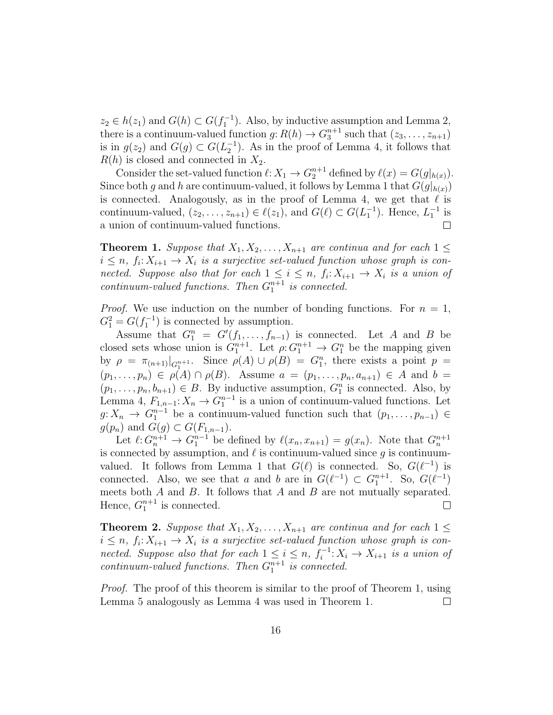$z_2 \in h(z_1)$  and  $G(h) \subset G(f_1^{-1})$ . Also, by inductive assumption and Lemma 2, there is a continuum-valued function  $g: R(h) \to G_3^{n+1}$  such that  $(z_3, \ldots, z_{n+1})$ is in  $g(z_2)$  and  $G(g) \subset G(L_2^{-1})$ . As in the proof of Lemma 4, it follows that  $R(h)$  is closed and connected in  $X_2$ .

Consider the set-valued function  $\ell: X_1 \to G_2^{n+1}$  defined by  $\ell(x) = G(g|_{h(x)})$ . Since both g and h are continuum-valued, it follows by Lemma 1 that  $G(g|_{h(x)})$ is connected. Analogously, as in the proof of Lemma 4, we get that  $\ell$  is continuum-valued,  $(z_2, \ldots, z_{n+1}) \in \ell(z_1)$ , and  $G(\ell) \subset G(L_1^{-1})$ . Hence,  $L_1^{-1}$  is a union of continuum-valued functions.  $\Box$ 

**Theorem 1.** Suppose that  $X_1, X_2, \ldots, X_{n+1}$  are continua and for each  $1 \leq$  $i \leq n$ ,  $f_i: X_{i+1} \to X_i$  is a surjective set-valued function whose graph is connected. Suppose also that for each  $1 \leq i \leq n$ ,  $f_i: X_{i+1} \to X_i$  is a union of continuum-valued functions. Then  $G_1^{n+1}$  is connected.

*Proof.* We use induction on the number of bonding functions. For  $n = 1$ ,  $G_1^2 = G(f_1^{-1})$  is connected by assumption.

Assume that  $G_1^n = G'(f_1, \ldots, f_{n-1})$  is connected. Let A and B be closed sets whose union is  $G_1^{n+1}$ . Let  $\rho: G_1^{n+1} \to G_1^n$  be the mapping given by  $\rho = \pi_{(n+1)}|_{G_1^{n+1}}$ . Since  $\rho(A) \cup \rho(B) = G_1^n$ , there exists a point  $p =$  $(p_1, \ldots, p_n) \in \rho(A) \cap \rho(B)$ . Assume  $a = (p_1, \ldots, p_n, a_{n+1}) \in A$  and  $b =$  $(p_1, \ldots, p_n, b_{n+1}) \in B$ . By inductive assumption,  $G_1^n$  is connected. Also, by Lemma 4,  $F_{1,n-1}: X_n \to G_1^{n-1}$  is a union of continuum-valued functions. Let  $g: X_n \to G_1^{n-1}$  be a continuum-valued function such that  $(p_1, \ldots, p_{n-1}) \in$  $g(p_n)$  and  $G(g) \subset G(F_{1,n-1})$ .

Let  $\ell: G_n^{n+1} \to G_1^{n-1}$  be defined by  $\ell(x_n, x_{n+1}) = g(x_n)$ . Note that  $G_n^{n+1}$ is connected by assumption, and  $\ell$  is continuum-valued since q is continuumvalued. It follows from Lemma 1 that  $G(\ell)$  is connected. So,  $G(\ell^{-1})$  is connected. Also, we see that a and b are in  $G(\ell^{-1}) \subset G_1^{n+1}$ . So,  $G(\ell^{-1})$ meets both  $A$  and  $B$ . It follows that  $A$  and  $B$  are not mutually separated. Hence,  $G_1^{n+1}$  is connected.  $\Box$ 

**Theorem 2.** Suppose that  $X_1, X_2, \ldots, X_{n+1}$  are continua and for each  $1 \leq$  $i \leq n$ ,  $f_i: X_{i+1} \to X_i$  is a surjective set-valued function whose graph is connected. Suppose also that for each  $1 \leq i \leq n$ ,  $f_i^{-1}$  $i_i^{-1}: X_i \to X_{i+1}$  is a union of continuum-valued functions. Then  $G_1^{n+1}$  is connected.

Proof. The proof of this theorem is similar to the proof of Theorem 1, using Lemma 5 analogously as Lemma 4 was used in Theorem 1.  $\Box$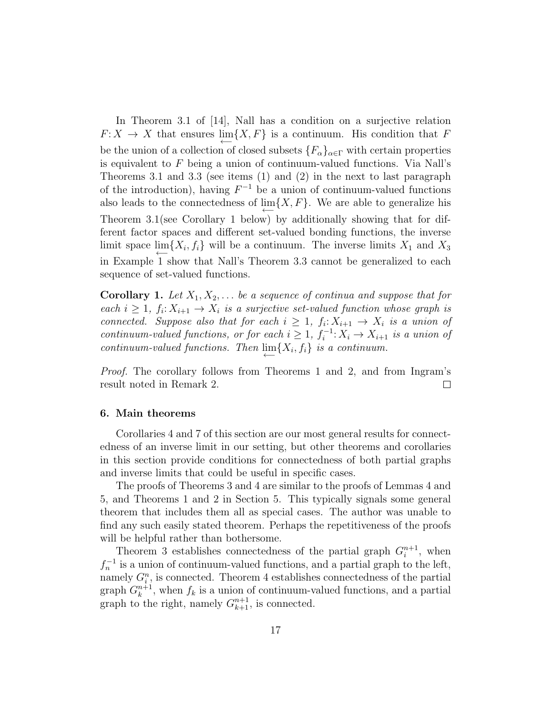In Theorem 3.1 of [14], Nall has a condition on a surjective relation  $F: X \to X$  that ensures  $\varprojlim\{X, F\}$  is a continuum. His condition that F be the union of a collection of closed subsets  ${F_\alpha}_{\alpha\in\Gamma}$  with certain properties is equivalent to  $F$  being a union of continuum-valued functions. Via Nall's Theorems 3.1 and 3.3 (see items (1) and (2) in the next to last paragraph of the introduction), having  $F^{-1}$  be a union of continuum-valued functions also leads to the connectedness of  $\varprojlim\{X,F\}$ . We are able to generalize his Theorem 3.1(see Corollary 1 below) by additionally showing that for different factor spaces and different set-valued bonding functions, the inverse limit space  $\lim_{\longleftarrow} \{X_i, f_i\}$  will be a continuum. The inverse limits  $X_1$  and  $X_3$ in Example 1 show that Nall's Theorem 3.3 cannot be generalized to each sequence of set-valued functions.

**Corollary 1.** Let  $X_1, X_2, \ldots$  be a sequence of continua and suppose that for each  $i \geq 1$ ,  $f_i: X_{i+1} \to X_i$  is a surjective set-valued function whose graph is connected. Suppose also that for each  $i \geq 1$ ,  $f_i: X_{i+1} \to X_i$  is a union of continuum-valued functions, or for each  $i \geq 1$ ,  $f_i^{-1}$  $i_i^{-1}: X_i \to X_{i+1}$  is a union of continuum-valued functions. Then  $\lim_{\longleftarrow} \{X_i, f_i\}$  is a continuum.

Proof. The corollary follows from Theorems 1 and 2, and from Ingram's result noted in Remark 2.  $\Box$ 

#### 6. Main theorems

Corollaries 4 and 7 of this section are our most general results for connectedness of an inverse limit in our setting, but other theorems and corollaries in this section provide conditions for connectedness of both partial graphs and inverse limits that could be useful in specific cases.

The proofs of Theorems 3 and 4 are similar to the proofs of Lemmas 4 and 5, and Theorems 1 and 2 in Section 5. This typically signals some general theorem that includes them all as special cases. The author was unable to find any such easily stated theorem. Perhaps the repetitiveness of the proofs will be helpful rather than bothersome.

Theorem 3 establishes connectedness of the partial graph  $G_i^{n+1}$  $i^{n+1}$ , when  $f_n^{-1}$  is a union of continuum-valued functions, and a partial graph to the left, namely  $G_i^n$ , is connected. Theorem 4 establishes connectedness of the partial graph  $G_k^{n+1}$  $k^{n+1}$ , when  $f_k$  is a union of continuum-valued functions, and a partial graph to the right, namely  $G_{k+1}^{n+1}$ , is connected.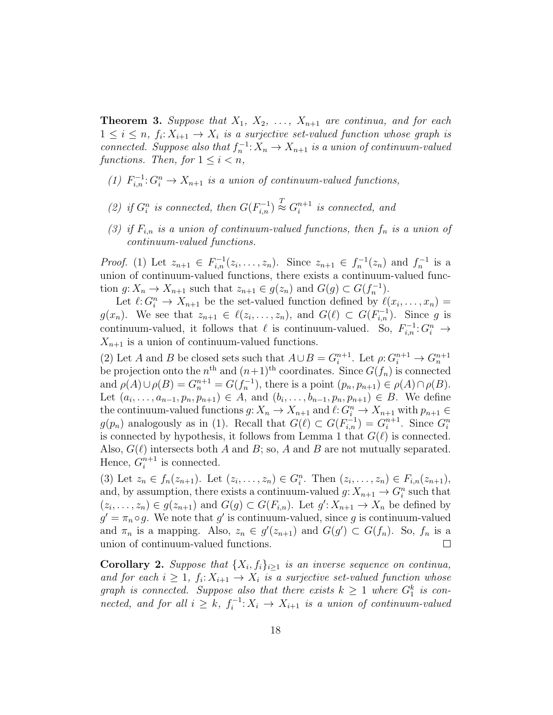**Theorem 3.** Suppose that  $X_1, X_2, \ldots, X_{n+1}$  are continua, and for each  $1 \leq i \leq n$ ,  $f_i: X_{i+1} \to X_i$  is a surjective set-valued function whose graph is connected. Suppose also that  $f_n^{-1}: X_n \to X_{n+1}$  is a union of continuum-valued functions. Then, for  $1 \leq i < n$ ,

- (1)  $F_{i,n}^{-1}: G_i^n \to X_{n+1}$  is a union of continuum-valued functions,
- (2) if  $G_i^n$  is connected, then  $G(F_{i,n}^{-1}) \stackrel{T}{\approx} G_i^{n+1}$  $i^{n+1}$  is connected, and
- (3) if  $F_{i,n}$  is a union of continuum-valued functions, then  $f_n$  is a union of continuum-valued functions.

*Proof.* (1) Let  $z_{n+1} \in F_{i,n}^{-1}(z_1, \ldots, z_n)$ . Since  $z_{n+1} \in f_n^{-1}(z_n)$  and  $f_n^{-1}$  is a union of continuum-valued functions, there exists a continuum-valued function  $g: X_n \to X_{n+1}$  such that  $z_{n+1} \in g(z_n)$  and  $G(g) \subset G(f_n^{-1})$ .

Let  $\ell: G_i^n \to X_{n+1}$  be the set-valued function defined by  $\ell(x_i, \ldots, x_n) =$  $g(x_n)$ . We see that  $z_{n+1} \in \ell(z_i, \ldots, z_n)$ , and  $G(\ell) \subset G(F_{i,n}^{-1})$ . Since g is continuum-valued, it follows that  $\ell$  is continuum-valued. So,  $F_{i,n}^{-1}: G_i^n \to$  $X_{n+1}$  is a union of continuum-valued functions.

(2) Let A and B be closed sets such that  $A \cup B = G_i^{n+1}$  $i^{n+1}$ . Let  $\rho: G_i^{n+1} \to G_n^{n+1}$ be projection onto the  $n<sup>th</sup>$  and  $(n+1)<sup>th</sup>$  coordinates. Since  $G(f_n)$  is connected and  $\rho(A) \cup \rho(B) = G_n^{n+1} = G(f_n^{-1}),$  there is a point  $(p_n, p_{n+1}) \in \rho(A) \cap \rho(B)$ . Let  $(a_i, \ldots, a_{n-1}, p_n, p_{n+1}) \in A$ , and  $(b_i, \ldots, b_{n-1}, p_n, p_{n+1}) \in B$ . We define the continuum-valued functions  $g: X_n \to X_{n+1}$  and  $\ell: G_i^n \to X_{n+1}$  with  $p_{n+1} \in$  $g(p_n)$  analogously as in (1). Recall that  $G(\ell) \subset G(F_{i,n}^{-1}) = G_i^{n+1}$  $i^{n+1}$ . Since  $G_i^n$ is connected by hypothesis, it follows from Lemma 1 that  $G(\ell)$  is connected. Also,  $G(\ell)$  intersects both A and B; so, A and B are not mutually separated. Hence,  $G_i^{n+1}$  $i^{n+1}$  is connected.

(3) Let  $z_n \in f_n(z_{n+1})$ . Let  $(z_i, \ldots, z_n) \in G_i^n$ . Then  $(z_i, \ldots, z_n) \in F_{i,n}(z_{n+1})$ , and, by assumption, there exists a continuum-valued  $g: X_{n+1} \to G_i^n$  such that  $(z_i, \ldots, z_n) \in g(z_{n+1})$  and  $G(g) \subset G(F_{i,n})$ . Let  $g' : X_{n+1} \to X_n$  be defined by  $g' = \pi_n \circ g$ . We note that g' is continuum-valued, since g is continuum-valued and  $\pi_n$  is a mapping. Also,  $z_n \in g'(z_{n+1})$  and  $G(g') \subset G(f_n)$ . So,  $f_n$  is a union of continuum-valued functions.  $\Box$ 

**Corollary 2.** Suppose that  $\{X_i, f_i\}_{i\geq 1}$  is an inverse sequence on continua, and for each  $i \geq 1$ ,  $f_i: X_{i+1} \to X_i$  is a surjective set-valued function whose graph is connected. Suppose also that there exists  $k \geq 1$  where  $G_1^k$  is connected, and for all  $i \geq k$ ,  $f_i^{-1}$  $i_i^{-1}: X_i \to X_{i+1}$  is a union of continuum-valued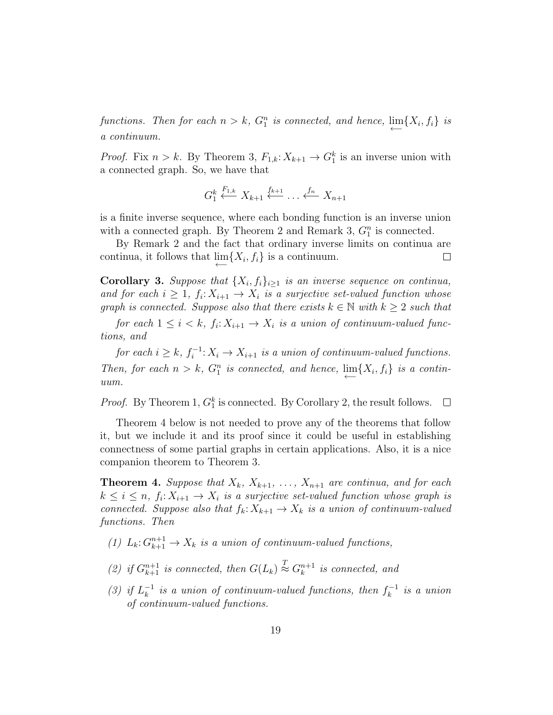functions. Then for each  $n > k$ ,  $G_1^n$  is connected, and hence,  $\lim_{n \to \infty} \{X_i, f_i\}$  is a continuum.

*Proof.* Fix  $n > k$ . By Theorem 3,  $F_{1,k}: X_{k+1} \to G_1^k$  is an inverse union with a connected graph. So, we have that

$$
G_1^k \stackrel{F_{1,k}}{\longleftarrow} X_{k+1} \stackrel{f_{k+1}}{\longleftarrow} \dots \stackrel{f_n}{\longleftarrow} X_{n+1}
$$

is a finite inverse sequence, where each bonding function is an inverse union with a connected graph. By Theorem 2 and Remark 3,  $G_1^n$  is connected.

By Remark 2 and the fact that ordinary inverse limits on continua are continua, it follows that  $\lim_{\longleftarrow} \{X_i, f_i\}$  is a continuum.  $\Box$ 

**Corollary 3.** Suppose that  $\{X_i, f_i\}_{i\geq 1}$  is an inverse sequence on continua, and for each  $i \geq 1$ ,  $f_i: X_{i+1} \to X_i$  is a surjective set-valued function whose graph is connected. Suppose also that there exists  $k \in \mathbb{N}$  with  $k \geq 2$  such that

for each  $1 \leq i < k$ ,  $f_i: X_{i+1} \to X_i$  is a union of continuum-valued functions, and

for each  $i \geq k$ ,  $f_i^{-1}$  $i_i^{-1}: X_i \to X_{i+1}$  is a union of continuum-valued functions. Then, for each  $n > k$ ,  $G_1^n$  is connected, and hence,  $\lim_{n \to \infty} \{X_i, f_i\}$  is a continuum.

*Proof.* By Theorem 1,  $G_1^k$  is connected. By Corollary 2, the result follows.  $\Box$ 

Theorem 4 below is not needed to prove any of the theorems that follow it, but we include it and its proof since it could be useful in establishing connectness of some partial graphs in certain applications. Also, it is a nice companion theorem to Theorem 3.

**Theorem 4.** Suppose that  $X_k$ ,  $X_{k+1}$ , ...,  $X_{n+1}$  are continua, and for each  $k \leq i \leq n$ ,  $f_i: X_{i+1} \to X_i$  is a surjective set-valued function whose graph is connected. Suppose also that  $f_k: X_{k+1} \to X_k$  is a union of continuum-valued functions. Then

- (1)  $L_k: G_{k+1}^{n+1} \to X_k$  is a union of continuum-valued functions,
- (2) if  $G_{k+1}^{n+1}$  is connected, then  $G(L_k) \stackrel{T}{\approx} G_k^{n+1}$  $\binom{n+1}{k}$  is connected, and
- (3) if  $L_k^{-1}$  $\frac{1}{k}$  is a union of continuum-valued functions, then  $f_k^{-1}$  $\tilde{k}^{-1}$  is a union of continuum-valued functions.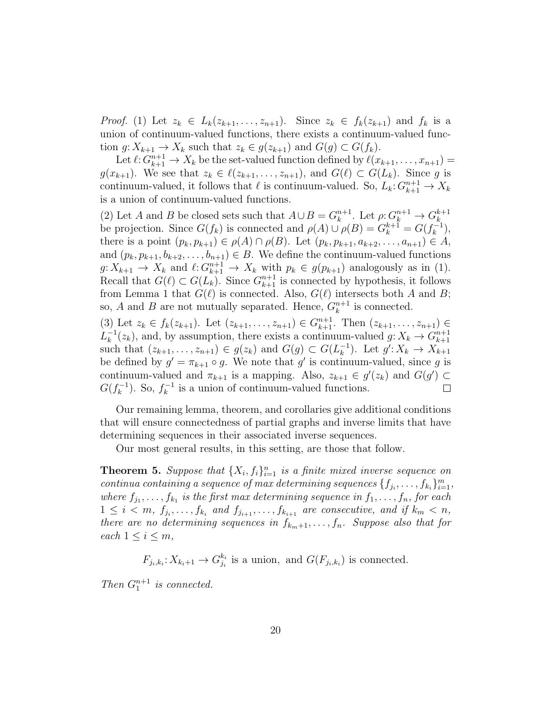*Proof.* (1) Let  $z_k \in L_k(z_{k+1},...,z_{n+1})$ . Since  $z_k \in f_k(z_{k+1})$  and  $f_k$  is a union of continuum-valued functions, there exists a continuum-valued function  $g: X_{k+1} \to X_k$  such that  $z_k \in g(z_{k+1})$  and  $G(g) \subset G(f_k)$ .

Let  $\ell: G_{k+1}^{n+1} \to X_k$  be the set-valued function defined by  $\ell(x_{k+1}, \ldots, x_{n+1}) =$  $g(x_{k+1})$ . We see that  $z_k \in \ell(z_{k+1}, \ldots, z_{n+1}),$  and  $G(\ell) \subset G(L_k)$ . Since g is continuum-valued, it follows that  $\ell$  is continuum-valued. So,  $L_k: G_{k+1}^{n+1} \to X_k$ is a union of continuum-valued functions.

(2) Let A and B be closed sets such that  $A \cup B = G_k^{n+1}$  $k^{n+1}$ . Let  $\rho: G_k^{n+1} \to G_k^{k+1}$ be projection. Since  $G(f_k)$  is connected and  $\rho(A) \cup \rho(B) = G_k^{k+1} = G(f_k^{-1})$  $\binom{-1}{k},$ there is a point  $(p_k, p_{k+1}) \in \rho(A) \cap \rho(B)$ . Let  $(p_k, p_{k+1}, a_{k+2}, \ldots, a_{n+1}) \in A$ , and  $(p_k, p_{k+1}, b_{k+2}, \ldots, b_{n+1}) \in B$ . We define the continuum-valued functions  $g: X_{k+1} \to X_k$  and  $\ell: G_{k+1}^{n+1} \to X_k$  with  $p_k \in g(p_{k+1})$  analogously as in (1). Recall that  $G(\ell) \subset G(L_k)$ . Since  $G_{k+1}^{n+1}$  is connected by hypothesis, it follows from Lemma 1 that  $G(\ell)$  is connected. Also,  $G(\ell)$  intersects both A and B; so, A and B are not mutually separated. Hence,  $G_k^{n+1}$  $k^{n+1}$  is connected.

(3) Let  $z_k \in f_k(z_{k+1})$ . Let  $(z_{k+1},...,z_{n+1}) \in G_{k+1}^{n+1}$ . Then  $(z_{k+1},...,z_{n+1}) \in$  $L_k^{-1}$  $k^{-1}(z_k)$ , and, by assumption, there exists a continuum-valued  $g: X_k \to G_{k+1}^{n+1}$  $k+1$ such that  $(z_{k+1},...,z_{n+1}) \in g(z_k)$  and  $G(g) \subset G(L_k^{-1})$  $\binom{-1}{k}$ . Let  $g' : X_k \to X_{k+1}$ be defined by  $g' = \pi_{k+1} \circ g$ . We note that g' is continuum-valued, since g is continuum-valued and  $\pi_{k+1}$  is a mapping. Also,  $z_{k+1} \in g'(z_k)$  and  $G(g') \subset$  $G(f_k^{-1})$  $\binom{k}{k}$ . So,  $f_k^{-1}$  $k_k^{-1}$  is a union of continuum-valued functions.  $\Box$ 

Our remaining lemma, theorem, and corollaries give additional conditions that will ensure connectedness of partial graphs and inverse limits that have determining sequences in their associated inverse sequences.

Our most general results, in this setting, are those that follow.

**Theorem 5.** Suppose that  $\{X_i, f_i\}_{i=1}^n$  is a finite mixed inverse sequence on continua containing a sequence of max determining sequences  $\{f_{j_i}, \ldots, f_{k_i}\}_{i=1}^m$ , where  $f_{j_1}, \ldots, f_{k_1}$  is the first max determining sequence in  $f_1, \ldots, f_n$ , for each  $1 \leq i < m, f_{j_i}, \ldots, f_{k_i}$  and  $f_{j_{i+1}}, \ldots, f_{k_{i+1}}$  are consecutive, and if  $k_m < n$ , there are no determining sequences in  $f_{k_m+1}, \ldots, f_n$ . Suppose also that for each  $1 \leq i \leq m$ ,

$$
F_{j_i,k_i}: X_{k_i+1} \to G_{j_i}^{k_i}
$$
 is a union, and  $G(F_{j_i,k_i})$  is connected.

Then  $G_1^{n+1}$  is connected.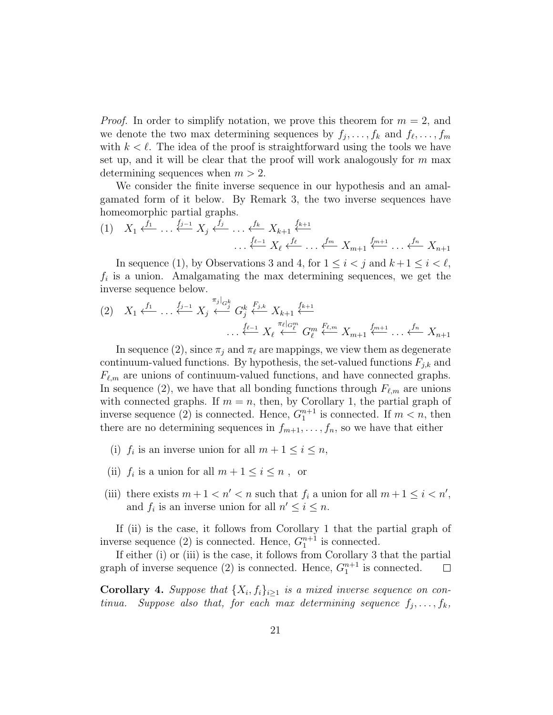*Proof.* In order to simplify notation, we prove this theorem for  $m = 2$ , and we denote the two max determining sequences by  $f_j, \ldots, f_k$  and  $f_\ell, \ldots, f_m$ with  $k < \ell$ . The idea of the proof is straightforward using the tools we have set up, and it will be clear that the proof will work analogously for  $m$  max determining sequences when  $m > 2$ .

We consider the finite inverse sequence in our hypothesis and an amalgamated form of it below. By Remark 3, the two inverse sequences have homeomorphic partial graphs.

$$
(1) \quad X_1 \xleftarrow{f_1} \dots \xleftarrow{f_{j-1}} X_j \xleftarrow{f_j} \dots \xleftarrow{f_k} X_{k+1} \xleftarrow{f_{k+1}} \dots \xleftarrow{f_m} X_{m+1} \xleftarrow{f_{m+1}} \dots \xleftarrow{f_n} X_{n+1}
$$

In sequence (1), by Observations 3 and 4, for  $1 \leq i < j$  and  $k+1 \leq i < \ell$ ,  $f_i$  is a union. Amalgamating the max determining sequences, we get the inverse sequence below.

$$
(2) \quad X_1 \xleftarrow{f_1} \dots \xleftarrow{f_{j-1}} X_j \xleftarrow{\pi_j \mid_{G_j^k} G_j^k} G_j^k \xleftarrow{F_{j,k}} X_{k+1} \xleftarrow{f_{k+1}} \dots \xleftarrow{f_{\ell-1}} X_\ell \xleftarrow{\pi_\ell \mid_{G_\ell^m} G_\ell^m} G_\ell^m \xleftarrow{F_{\ell,m}} X_{m+1} \xleftarrow{f_{m+1}} \dots \xleftarrow{f_n} X_{n+1}
$$

In sequence (2), since  $\pi_i$  and  $\pi_\ell$  are mappings, we view them as degenerate continuum-valued functions. By hypothesis, the set-valued functions  $F_{j,k}$  and  $F_{\ell,m}$  are unions of continuum-valued functions, and have connected graphs. In sequence (2), we have that all bonding functions through  $F_{\ell,m}$  are unions with connected graphs. If  $m = n$ , then, by Corollary 1, the partial graph of inverse sequence (2) is connected. Hence,  $G_1^{n+1}$  is connected. If  $m < n$ , then there are no determining sequences in  $f_{m+1}, \ldots, f_n$ , so we have that either

- (i)  $f_i$  is an inverse union for all  $m + 1 \leq i \leq n$ ,
- (ii)  $f_i$  is a union for all  $m + 1 \leq i \leq n$ , or
- (iii) there exists  $m + 1 < n' < n$  such that  $f_i$  a union for all  $m + 1 \leq i < n'$ , and  $f_i$  is an inverse union for all  $n' \leq i \leq n$ .

If (ii) is the case, it follows from Corollary 1 that the partial graph of inverse sequence (2) is connected. Hence,  $G_1^{n+1}$  is connected.

If either (i) or (iii) is the case, it follows from Corollary 3 that the partial graph of inverse sequence (2) is connected. Hence,  $G_1^{n+1}$  is connected.  $\Box$ 

**Corollary 4.** Suppose that  $\{X_i, f_i\}_{i\geq 1}$  is a mixed inverse sequence on continua. Suppose also that, for each max determining sequence  $f_j, \ldots, f_k$ ,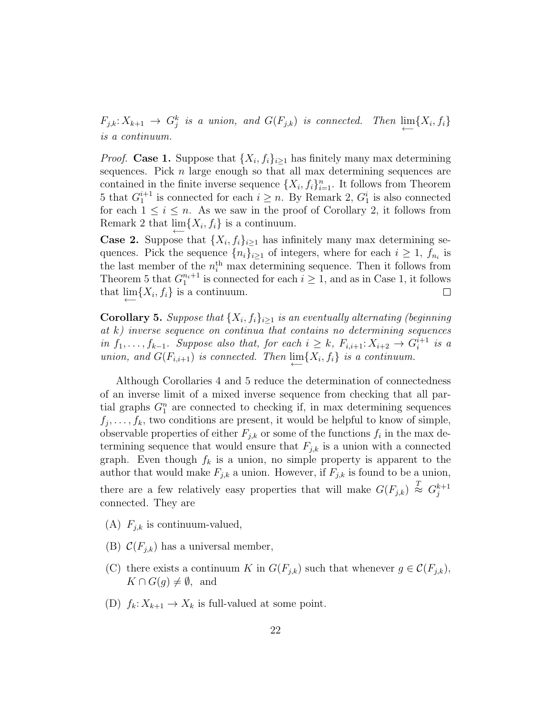$F_{j,k}: X_{k+1} \to G_j^k$  is a union, and  $G(F_{j,k})$  is connected. Then  $\varprojlim\{X_i, f_i\}$ is a continuum.

*Proof.* Case 1. Suppose that  $\{X_i, f_i\}_{i\geq 1}$  has finitely many max determining sequences. Pick  $n$  large enough so that all max determining sequences are contained in the finite inverse sequence  $\{X_i, f_i\}_{i=1}^n$ . It follows from Theorem 5 that  $G_1^{i+1}$  is connected for each  $i \geq n$ . By Remark 2,  $G_1^i$  is also connected for each  $1 \leq i \leq n$ . As we saw in the proof of Corollary 2, it follows from Remark 2 that  $\lim_{\longleftarrow} \{X_i, f_i\}$  is a continuum.

**Case 2.** Suppose that  $\{X_i, f_i\}_{i\geq 1}$  has infinitely many max determining sequences. Pick the sequence  $\{n_i\}_{i\geq 1}$  of integers, where for each  $i \geq 1$ ,  $f_{n_i}$  is the last member of the  $n_i^{\text{th}}$  max determining sequence. Then it follows from Theorem 5 that  $G_1^{n_i+1}$  is connected for each  $i \geq 1$ , and as in Case 1, it follows that  $\lim_{i}$ {X<sub>i</sub>, f<sub>i</sub>} is a continuum.  $\Box$ 

**Corollary 5.** Suppose that  $\{X_i, f_i\}_{i\geq 1}$  is an eventually alternating (beginning at k) inverse sequence on continua that contains no determining sequences in  $f_1, \ldots, f_{k-1}$ . Suppose also that, for each  $i \geq k$ ,  $F_{i,i+1}: X_{i+2} \to G_i^{i+1}$  $i^{+1}$  is a union, and  $G(F_{i,i+1})$  is connected. Then  $\lim_{\longleftarrow} \{X_i, f_i\}$  is a continuum.

Although Corollaries 4 and 5 reduce the determination of connectedness of an inverse limit of a mixed inverse sequence from checking that all partial graphs  $G_1^n$  are connected to checking if, in max determining sequences  $f_j, \ldots, f_k$ , two conditions are present, it would be helpful to know of simple, observable properties of either  $F_{j,k}$  or some of the functions  $f_i$  in the max determining sequence that would ensure that  $F_{j,k}$  is a union with a connected graph. Even though  $f_k$  is a union, no simple property is apparent to the author that would make  $F_{i,k}$  a union. However, if  $F_{i,k}$  is found to be a union, there are a few relatively easy properties that will make  $G(F_{j,k}) \stackrel{T}{\approx} G_j^{k+1}$ j connected. They are

- (A)  $F_{i,k}$  is continuum-valued,
- (B)  $C(F_{j,k})$  has a universal member,
- (C) there exists a continuum K in  $G(F_{j,k})$  such that whenever  $g \in \mathcal{C}(F_{j,k}),$  $K \cap G(g) \neq \emptyset$ , and
- (D)  $f_k: X_{k+1} \to X_k$  is full-valued at some point.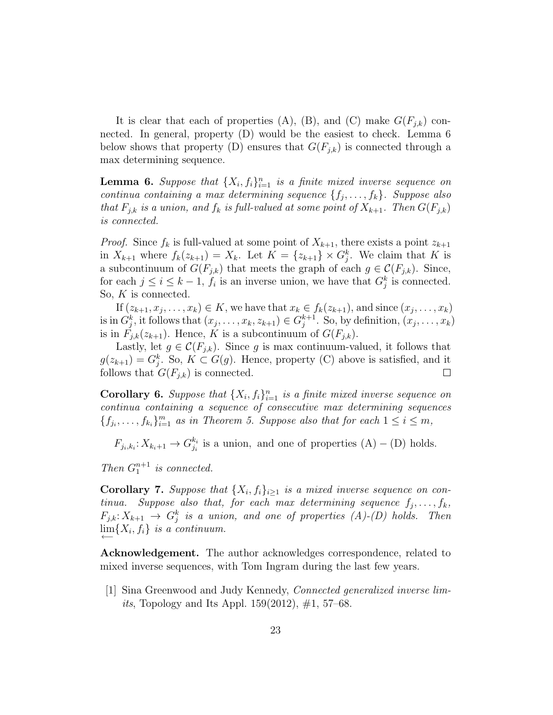It is clear that each of properties (A), (B), and (C) make  $G(F_{i,k})$  connected. In general, property (D) would be the easiest to check. Lemma 6 below shows that property (D) ensures that  $G(F_{j,k})$  is connected through a max determining sequence.

**Lemma 6.** Suppose that  $\{X_i, f_i\}_{i=1}^n$  is a finite mixed inverse sequence on continua containing a max determining sequence  $\{f_1, \ldots, f_k\}$ . Suppose also that  $F_{j,k}$  is a union, and  $f_k$  is full-valued at some point of  $X_{k+1}$ . Then  $G(F_{j,k})$ is connected.

*Proof.* Since  $f_k$  is full-valued at some point of  $X_{k+1}$ , there exists a point  $z_{k+1}$ in  $X_{k+1}$  where  $f_k(z_{k+1}) = X_k$ . Let  $K = \{z_{k+1}\} \times G_j^k$ . We claim that K is a subcontinuum of  $G(F_{j,k})$  that meets the graph of each  $g \in \mathcal{C}(F_{j,k})$ . Since, for each  $j \leq i \leq k-1$ ,  $f_i$  is an inverse union, we have that  $G_j^k$  is connected. So, K is connected.

If  $(z_{k+1}, x_j, \ldots, x_k) \in K$ , we have that  $x_k \in f_k(z_{k+1})$ , and since  $(x_j, \ldots, x_k)$ is in  $G_j^k$ , it follows that  $(x_j, \ldots, x_k, z_{k+1}) \in G_j^{k+1}$  $j^{k+1}$ . So, by definition,  $(x_j, \ldots, x_k)$ is in  $F_{j,k}(z_{k+1})$ . Hence, K is a subcontinuum of  $G(F_{j,k})$ .

Lastly, let  $g \in \mathcal{C}(F_{i,k})$ . Since g is max continuum-valued, it follows that  $g(z_{k+1}) = G_j^k$ . So,  $K \subset G(g)$ . Hence, property (C) above is satisfied, and it follows that  $G(F_{i,k})$  is connected.  $\Box$ 

**Corollary 6.** Suppose that  $\{X_i, f_i\}_{i=1}^n$  is a finite mixed inverse sequence on continua containing a sequence of consecutive max determining sequences  ${f_{j_i}, \ldots, f_{k_i}}_{i=1}^m$  as in Theorem 5. Suppose also that for each  $1 \leq i \leq m$ ,

 $F_{j_i,k_i}: X_{k_i+1} \to G_{j_i}^{k_i}$  $j_i$  is a union, and one of properties  $(A) - (D)$  holds.

Then  $G_1^{n+1}$  is connected.

**Corollary 7.** Suppose that  $\{X_i, f_i\}_{i\geq 1}$  is a mixed inverse sequence on continua. Suppose also that, for each max determining sequence  $f_j, \ldots, f_k$ ,  $F_{j,k}: X_{k+1} \longrightarrow G_j^k$  is a union, and one of properties  $(A)$ - $(D)$  holds. Then  $\varprojlim\{X_i, f_i\}$  is a continuum.

Acknowledgement. The author acknowledges correspondence, related to mixed inverse sequences, with Tom Ingram during the last few years.

[1] Sina Greenwood and Judy Kennedy, Connected generalized inverse lim*its*, Topology and Its Appl. 159(2012),  $\#1$ , 57–68.